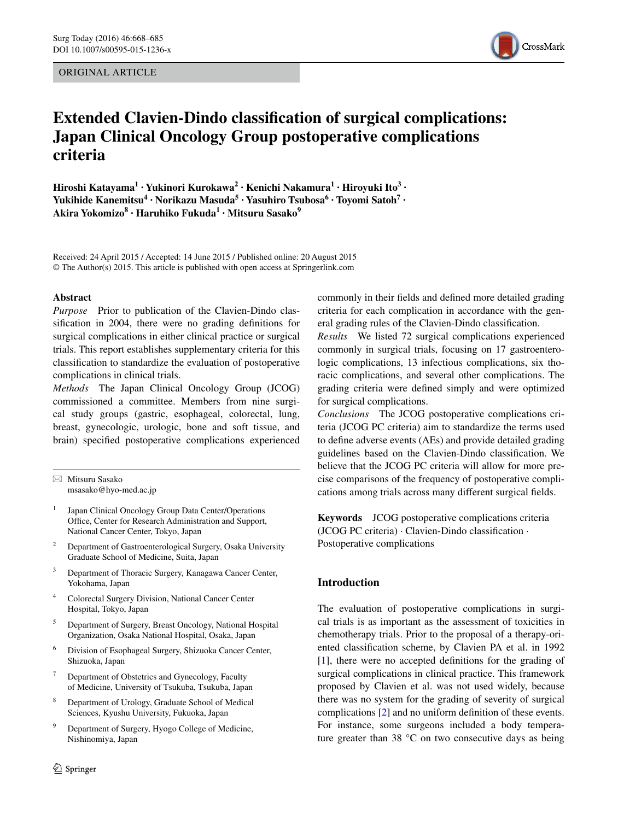ORIGINAL ARTICLE



# **Extended Clavien‑Dindo classification of surgical complications: Japan Clinical Oncology Group postoperative complications criteria**

**Hiroshi Katayama1 · Yukinori Kurokawa2 · Kenichi Nakamura1 · Hiroyuki Ito3 · Yukihide Kanemitsu<sup>4</sup> · Norikazu Masuda5 · Yasuhiro Tsubosa6 · Toyomi Satoh7 · Akira Yokomizo<sup>8</sup> · Haruhiko Fukuda1 · Mitsuru Sasako<sup>9</sup>**

Received: 24 April 2015 / Accepted: 14 June 2015 / Published online: 20 August 2015 © The Author(s) 2015. This article is published with open access at Springerlink.com

#### **Abstract**

*Purpose* Prior to publication of the Clavien-Dindo classification in 2004, there were no grading definitions for surgical complications in either clinical practice or surgical trials. This report establishes supplementary criteria for this classification to standardize the evaluation of postoperative complications in clinical trials.

*Methods* The Japan Clinical Oncology Group (JCOG) commissioned a committee. Members from nine surgical study groups (gastric, esophageal, colorectal, lung, breast, gynecologic, urologic, bone and soft tissue, and brain) specified postoperative complications experienced

 $\boxtimes$  Mitsuru Sasako msasako@hyo-med.ac.jp

- <sup>1</sup> Japan Clinical Oncology Group Data Center/Operations Office, Center for Research Administration and Support, National Cancer Center, Tokyo, Japan
- <sup>2</sup> Department of Gastroenterological Surgery, Osaka University Graduate School of Medicine, Suita, Japan
- <sup>3</sup> Department of Thoracic Surgery, Kanagawa Cancer Center, Yokohama, Japan
- <sup>4</sup> Colorectal Surgery Division, National Cancer Center Hospital, Tokyo, Japan
- <sup>5</sup> Department of Surgery, Breast Oncology, National Hospital Organization, Osaka National Hospital, Osaka, Japan
- <sup>6</sup> Division of Esophageal Surgery, Shizuoka Cancer Center, Shizuoka, Japan
- <sup>7</sup> Department of Obstetrics and Gynecology, Faculty of Medicine, University of Tsukuba, Tsukuba, Japan
- <sup>8</sup> Department of Urology, Graduate School of Medical Sciences, Kyushu University, Fukuoka, Japan
- <sup>9</sup> Department of Surgery, Hyogo College of Medicine, Nishinomiya, Japan

commonly in their fields and defined more detailed grading criteria for each complication in accordance with the general grading rules of the Clavien-Dindo classification.

*Results* We listed 72 surgical complications experienced commonly in surgical trials, focusing on 17 gastroenterologic complications, 13 infectious complications, six thoracic complications, and several other complications. The grading criteria were defined simply and were optimized for surgical complications.

*Conclusions* The JCOG postoperative complications criteria (JCOG PC criteria) aim to standardize the terms used to define adverse events (AEs) and provide detailed grading guidelines based on the Clavien-Dindo classification. We believe that the JCOG PC criteria will allow for more precise comparisons of the frequency of postoperative complications among trials across many different surgical fields.

**Keywords** JCOG postoperative complications criteria (JCOG PC criteria) · Clavien-Dindo classification · Postoperative complications

# **Introduction**

The evaluation of postoperative complications in surgical trials is as important as the assessment of toxicities in chemotherapy trials. Prior to the proposal of a therapy-oriented classification scheme, by Clavien PA et al. in 1992 [\[1](#page-16-0)], there were no accepted definitions for the grading of surgical complications in clinical practice. This framework proposed by Clavien et al. was not used widely, because there was no system for the grading of severity of surgical complications [[2\]](#page-16-1) and no uniform definition of these events. For instance, some surgeons included a body temperature greater than 38 °C on two consecutive days as being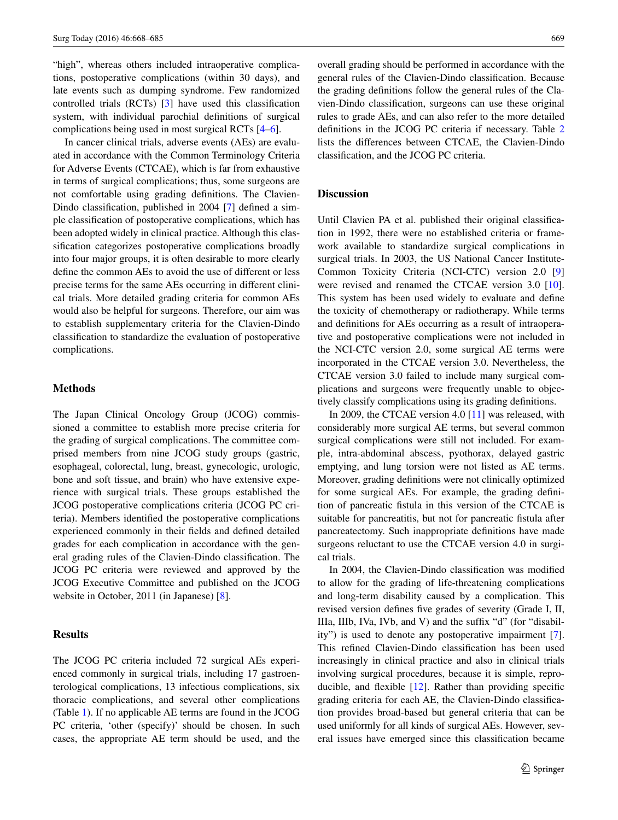"high", whereas others included intraoperative complications, postoperative complications (within 30 days), and late events such as dumping syndrome. Few randomized controlled trials (RCTs) [[3\]](#page-16-2) have used this classification system, with individual parochial definitions of surgical complications being used in most surgical RCTs [[4–](#page-17-0)[6\]](#page-17-1).

In cancer clinical trials, adverse events (AEs) are evaluated in accordance with the Common Terminology Criteria for Adverse Events (CTCAE), which is far from exhaustive in terms of surgical complications; thus, some surgeons are not comfortable using grading definitions. The Clavien-Dindo classification, published in 2004 [\[7](#page-17-2)] defined a simple classification of postoperative complications, which has been adopted widely in clinical practice. Although this classification categorizes postoperative complications broadly into four major groups, it is often desirable to more clearly define the common AEs to avoid the use of different or less precise terms for the same AEs occurring in different clinical trials. More detailed grading criteria for common AEs would also be helpful for surgeons. Therefore, our aim was to establish supplementary criteria for the Clavien-Dindo classification to standardize the evaluation of postoperative complications.

### **Methods**

The Japan Clinical Oncology Group (JCOG) commissioned a committee to establish more precise criteria for the grading of surgical complications. The committee comprised members from nine JCOG study groups (gastric, esophageal, colorectal, lung, breast, gynecologic, urologic, bone and soft tissue, and brain) who have extensive experience with surgical trials. These groups established the JCOG postoperative complications criteria (JCOG PC criteria). Members identified the postoperative complications experienced commonly in their fields and defined detailed grades for each complication in accordance with the general grading rules of the Clavien-Dindo classification. The JCOG PC criteria were reviewed and approved by the JCOG Executive Committee and published on the JCOG website in October, 2011 (in Japanese) [[8\]](#page-17-3).

## **Results**

The JCOG PC criteria included 72 surgical AEs experienced commonly in surgical trials, including 17 gastroenterological complications, 13 infectious complications, six thoracic complications, and several other complications (Table [1\)](#page-2-0). If no applicable AE terms are found in the JCOG PC criteria, 'other (specify)' should be chosen. In such cases, the appropriate AE term should be used, and the overall grading should be performed in accordance with the general rules of the Clavien-Dindo classification. Because the grading definitions follow the general rules of the Clavien-Dindo classification, surgeons can use these original rules to grade AEs, and can also refer to the more detailed definitions in the JCOG PC criteria if necessary. Table [2](#page-16-3) lists the differences between CTCAE, the Clavien-Dindo classification, and the JCOG PC criteria.

#### **Discussion**

Until Clavien PA et al. published their original classification in 1992, there were no established criteria or framework available to standardize surgical complications in surgical trials. In 2003, the US National Cancer Institute-Common Toxicity Criteria (NCI-CTC) version 2.0 [[9\]](#page-17-4) were revised and renamed the CTCAE version 3.0 [\[10](#page-17-5)]. This system has been used widely to evaluate and define the toxicity of chemotherapy or radiotherapy. While terms and definitions for AEs occurring as a result of intraoperative and postoperative complications were not included in the NCI-CTC version 2.0, some surgical AE terms were incorporated in the CTCAE version 3.0. Nevertheless, the CTCAE version 3.0 failed to include many surgical complications and surgeons were frequently unable to objectively classify complications using its grading definitions.

In 2009, the CTCAE version 4.0 [\[11](#page-17-6)] was released, with considerably more surgical AE terms, but several common surgical complications were still not included. For example, intra-abdominal abscess, pyothorax, delayed gastric emptying, and lung torsion were not listed as AE terms. Moreover, grading definitions were not clinically optimized for some surgical AEs. For example, the grading definition of pancreatic fistula in this version of the CTCAE is suitable for pancreatitis, but not for pancreatic fistula after pancreatectomy. Such inappropriate definitions have made surgeons reluctant to use the CTCAE version 4.0 in surgical trials.

In 2004, the Clavien-Dindo classification was modified to allow for the grading of life-threatening complications and long-term disability caused by a complication. This revised version defines five grades of severity (Grade I, II, IIIa, IIIb, IVa, IVb, and V) and the suffix "d" (for "disability") is used to denote any postoperative impairment [\[7](#page-17-2)]. This refined Clavien-Dindo classification has been used increasingly in clinical practice and also in clinical trials involving surgical procedures, because it is simple, reproducible, and flexible [\[12](#page-17-7)]. Rather than providing specific grading criteria for each AE, the Clavien-Dindo classification provides broad-based but general criteria that can be used uniformly for all kinds of surgical AEs. However, several issues have emerged since this classification became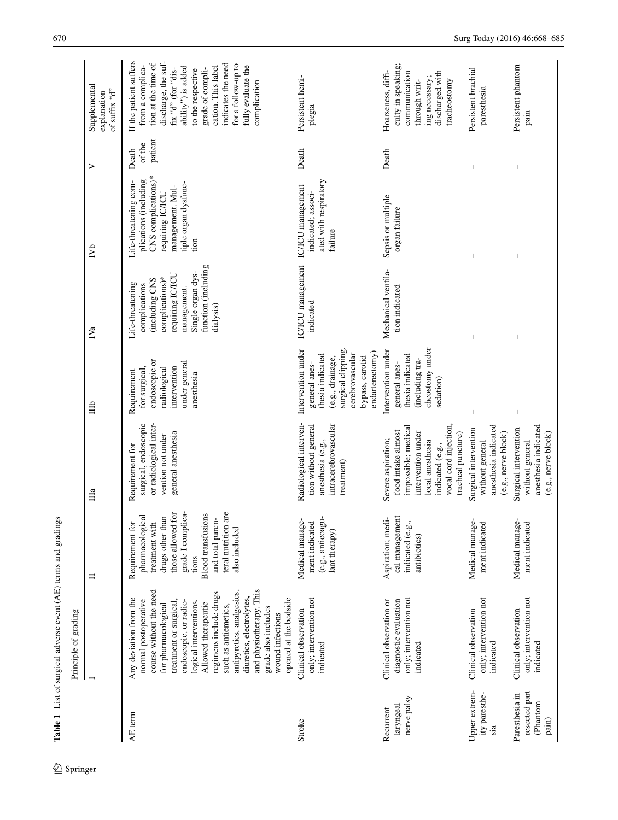<span id="page-2-0"></span>

|                                                      | Principle of grading                                                                                                                                                                                                                                                                                                                                                                                           |                                                                                                                                                                                                                      |                                                                                                                                                                              |                                                                                                                                                            |                                                                                                                                                                    |                                                                                                                                               |                            |                                                                                                                                                                                                                                                                                                     |
|------------------------------------------------------|----------------------------------------------------------------------------------------------------------------------------------------------------------------------------------------------------------------------------------------------------------------------------------------------------------------------------------------------------------------------------------------------------------------|----------------------------------------------------------------------------------------------------------------------------------------------------------------------------------------------------------------------|------------------------------------------------------------------------------------------------------------------------------------------------------------------------------|------------------------------------------------------------------------------------------------------------------------------------------------------------|--------------------------------------------------------------------------------------------------------------------------------------------------------------------|-----------------------------------------------------------------------------------------------------------------------------------------------|----------------------------|-----------------------------------------------------------------------------------------------------------------------------------------------------------------------------------------------------------------------------------------------------------------------------------------------------|
|                                                      |                                                                                                                                                                                                                                                                                                                                                                                                                | $\blacksquare$                                                                                                                                                                                                       | $\Box$                                                                                                                                                                       | 自                                                                                                                                                          | $\mathbb{N}_a$                                                                                                                                                     | $\mathbb{R}^2$                                                                                                                                | ⋗                          | Supplemental<br>of suffix "d"<br>explanation                                                                                                                                                                                                                                                        |
| AE term                                              | and physiotherapy. This<br>course without the need<br>antipyretics, analgesics,<br>regimens include drugs<br>diuretics, electrolytes,<br>Any deviation from the<br>opened at the bedside<br>normal postoperative<br>treatment or surgical,<br>endoscopic, or radio-<br>logical interventions.<br>for pharmacological<br>Allowed therapeutic<br>such as antiemetics,<br>grade also includes<br>wound infections | grade I complica-<br>teral nutrition are<br>those allowed for<br><b>Blood transfusions</b><br>drugs other than<br>pharmacological<br>and total paren-<br>treatment with<br>Requirement for<br>also included<br>tions | or radiological inter-<br>surgical, endoscopic<br>general anesthesia<br>vention not under<br>Requirement for                                                                 | endoscopic or<br>under general<br>radiological<br>intervention<br>for surgical,<br>Requirement<br>anesthesia                                               | function (including<br>Single organ dys-<br>requiring IC/ICU<br>complications)*<br>(including CNS<br>Life-threatening<br>complications<br>management.<br>dialysis) | CNS complications)*<br>plications (including<br>Life-threatening com-<br>tiple organ dysfunc-<br>management. Mul-<br>requiring IC/ICU<br>tion | patient<br>of the<br>Death | If the patient suffers<br>discharge, the suf-<br>tion at the time of<br>indicates the need<br>for a follow-up to<br>from a complica-<br>fully evaluate the<br>ability") is added<br>cation. This label<br>grade of compli-<br>$-slb$ , $d$ , $q$ (for $-dis$ -<br>to the respective<br>complication |
| Stroke                                               | only; intervention not<br>Clinical observation<br>indicated                                                                                                                                                                                                                                                                                                                                                    | Medical manage-<br>ment indicated<br>(e.g., anticoagu<br>lant therapy)                                                                                                                                               | intracerebrovascular<br>Radiological interven-<br>tion without general<br>anesthesia (e.g.,<br>treatment)                                                                    | surgical clipping,<br>Intervention under<br>endarterectomy)<br>cerebrovascular<br>thesia indicated<br>(e.g., drainage,<br>bypass, carotid<br>general anes- | IC/ICU management<br>indicated                                                                                                                                     | ated with respiratory<br>IC/ICU management<br>indicated; associ-<br>failure                                                                   | Death                      | Persistent hemi-<br>plegia                                                                                                                                                                                                                                                                          |
| nerve palsy<br>laryngeal<br>Recurrent                | only; intervention not<br>diagnostic evaluation<br>Clinical observation or<br>indicated                                                                                                                                                                                                                                                                                                                        | cal management<br>Aspiration; medi<br>indicated (e.g.,<br>antibiotics)                                                                                                                                               | vocal cord injection,<br>impossible; medical<br>food intake almost<br>intervention under<br>tracheal puncture)<br>Severe aspiration;<br>local anesthesia<br>indicated (e.g., | cheostomy under<br>Intervention under<br>thesia indicated<br>(including tra-<br>general anes-<br>sedation)                                                 | Mechanical ventila-<br>tion indicated                                                                                                                              | Sepsis or multiple<br>organ failure                                                                                                           | Death                      | culty in speaking;<br>Hoarseness, diffi-<br>discharged with<br>communication<br>ing necessary;<br>through writ-<br>tracheostomy                                                                                                                                                                     |
| Upper extrem-<br>ity paresthe-<br>sia                | only; intervention not<br>Clinical observation<br>indicated                                                                                                                                                                                                                                                                                                                                                    | Medical manage-<br>ment indicated                                                                                                                                                                                    | anesthesia indicated<br>Surgical intervention<br>$(e.g.,$ nerve $block)$<br>without general                                                                                  |                                                                                                                                                            |                                                                                                                                                                    |                                                                                                                                               |                            | Persistent brachial<br>paresthesia                                                                                                                                                                                                                                                                  |
| resected part<br>Paresthesia in<br>(Phantom<br>pain) | only; intervention not<br>Clinical observation<br>indicated                                                                                                                                                                                                                                                                                                                                                    | Medical manage-<br>ment indicated                                                                                                                                                                                    | anesthesia indicated<br>Surgical intervention<br>(e.g., nerve block)<br>without general                                                                                      |                                                                                                                                                            |                                                                                                                                                                    |                                                                                                                                               |                            | Persistent phantom<br>pain                                                                                                                                                                                                                                                                          |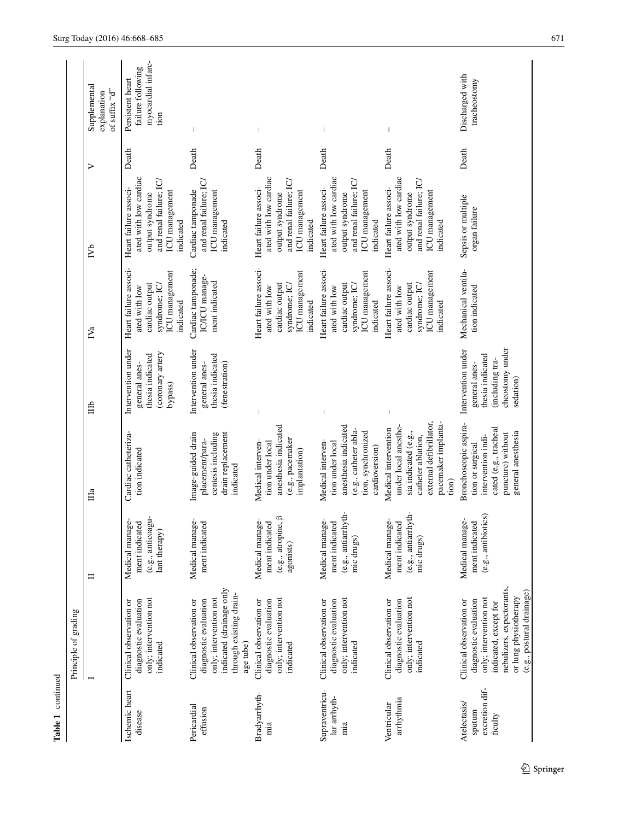|                                                     | Principle of grading                                                                                                                                                                   |                                                                         |                                                                                                                                                       |                                                                                                            |                                                                                                          |                                                                                                                            |       |                                                                     |
|-----------------------------------------------------|----------------------------------------------------------------------------------------------------------------------------------------------------------------------------------------|-------------------------------------------------------------------------|-------------------------------------------------------------------------------------------------------------------------------------------------------|------------------------------------------------------------------------------------------------------------|----------------------------------------------------------------------------------------------------------|----------------------------------------------------------------------------------------------------------------------------|-------|---------------------------------------------------------------------|
|                                                     |                                                                                                                                                                                        | $\equiv$                                                                | Ша                                                                                                                                                    | 旨                                                                                                          | IV <sub>a</sub>                                                                                          | ГVb                                                                                                                        | ⋗     | Supplemental<br>of suffix "d"<br>explanation                        |
| Ischemic heart<br>disease                           | only; intervention not<br>Clinical observation or<br>diagnostic evaluation<br>indicated                                                                                                | (e.g., anticoagu-<br>Medical manage<br>ment indicated<br>lant therapy)  | Cardiac catheteriza-<br>tion indicated                                                                                                                | Intervention under<br>(coronary artery<br>thesia indicated<br>general anes-<br>bypass)                     | Heart failure associ-<br>ICU management<br>cardiac output<br>syndrome; IC/<br>ated with low<br>indicated | ated with low cardiac<br>and renal failure; IC<br>Heart failure associ-<br>ICU management<br>output syndrome<br>indicated  | Death | myocardial infarc-<br>failure following<br>Persistent heart<br>tion |
| Pericardial<br>effusion                             | indicated (drainage only<br>through existing drain-<br>only; intervention not<br>diagnostic evaluation<br>Clinical observation or<br>age tube)                                         | Medical manage-<br>ment indicated                                       | drain replacement<br>Image-guided drain<br>centesis including<br>placement/para-<br>indicated                                                         | Intervention under<br>thesia indicated<br>(fenestration)<br>general anes-                                  | Cardiac tamponade;<br>IC/ICU manage-<br>ment indicated                                                   | and renal failure; IC<br>Cardiac tamponade<br>ICU management<br>indicated                                                  | Death |                                                                     |
| Bradyarrhyth-<br>mia                                | only; intervention not<br>diagnostic evaluation<br>Clinical observation or<br>indicated                                                                                                | ≏<br>Medical manage-<br>ment indicated<br>(e.g., atropine,<br>agonists) | anesthesia indicated<br>(e.g., pacemaker<br>Medical interven-<br>tion under local<br>implantation)                                                    | $\overline{\phantom{a}}$                                                                                   | Heart failure associ-<br>ICU management<br>cardiac output<br>syndrome; IC/<br>ated with low<br>indicated | ated with low cardiac<br>and renal failure; IC/<br>Heart failure associ-<br>ICU management<br>output syndrome<br>indicated | Death |                                                                     |
| Supraventricu-<br>lar arrhyth-<br>mia               | only; intervention not<br>diagnostic evaluation<br>Clinical observation or<br>indicated                                                                                                | (e.g., antiarrhyth-<br>Medical manage-<br>ment indicated<br>mic drugs)  | anesthesia indicated<br>(e.g., catheter abla-<br>tion, synchronized<br>Medical interven-<br>tion under local<br>cardioversion)                        | $\overline{\phantom{a}}$                                                                                   | Heart failure associ-<br>ICU management<br>cardiac output<br>syndrome; IC/<br>ated with low<br>indicated | ated with low cardiac<br>and renal failure; IC/<br>Heart failure associ-<br>ICU management<br>output syndrome<br>indicated | Death |                                                                     |
| arrhythmia<br>Ventricular                           | only; intervention not<br>diagnostic evaluation<br>Clinical observation or<br>indicated                                                                                                | (e.g., antiarrhyth-<br>Medical manage-<br>ment indicated<br>mic drugs)  | external defibrillator,<br>pacemaker implanta-<br>under local anesthe-<br>Medical intervention<br>sia indicated (e.g.,<br>catheter ablation,<br>tion) |                                                                                                            | Heart failure associ-<br>ICU management<br>cardiac output<br>syndrome; IC/<br>ated with low<br>indicated | ated with low cardiac<br>and renal failure; IC<br>Heart failure associ-<br>ICU management<br>output syndrome<br>indicated  | Death |                                                                     |
| excretion dif-<br>Atelectasis/<br>sputum<br>ficulty | nebulizers, expectorants,<br>(e.g., postural drainage)<br>or lung physiotherapy<br>only; intervention not<br>diagnostic evaluation<br>Clinical observation or<br>indicated, except for | (e.g., antibiotics)<br>Medical manage-<br>ment indicated                | Bronchoscopic aspira-<br>cated (e.g., tracheal<br>general anesthesia<br>puncture) without<br>intervention indi-<br>tion or surgical                   | cheostomy under<br>Intervention under<br>thesia indicated<br>(including tra-<br>general anes-<br>sedation) | Mechanical ventila-<br>tion indicated                                                                    | Sepsis or multiple<br>organ failure                                                                                        | Death | Discharged with<br>tracheostomy                                     |

Table 1 continued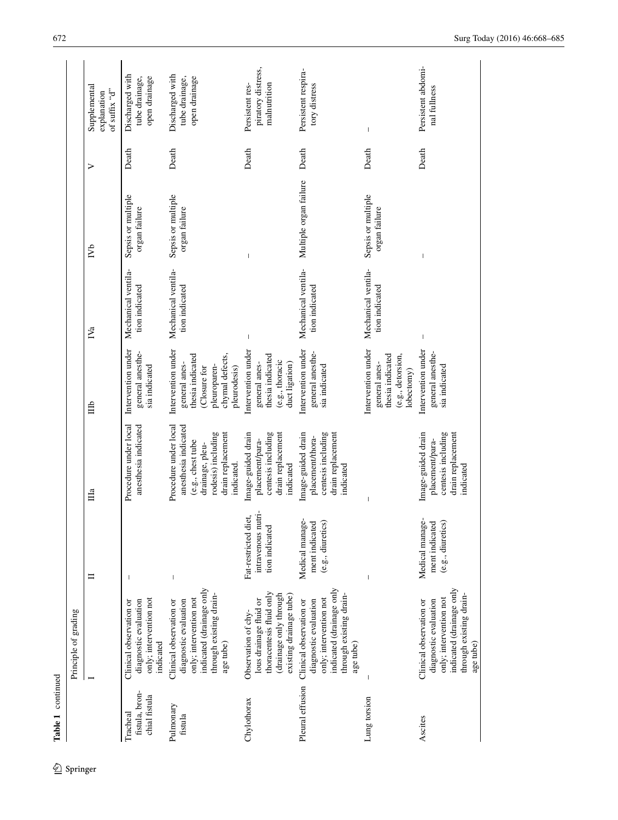| Table 1 continued                           | Principle of grading                                                                                                                           |                                                              |                                                                                                                                                |                                                                                                                           |                                       |                                     |       |                                              |
|---------------------------------------------|------------------------------------------------------------------------------------------------------------------------------------------------|--------------------------------------------------------------|------------------------------------------------------------------------------------------------------------------------------------------------|---------------------------------------------------------------------------------------------------------------------------|---------------------------------------|-------------------------------------|-------|----------------------------------------------|
|                                             |                                                                                                                                                | $\blacksquare$                                               | $\mathbb{H}^a$                                                                                                                                 | 自                                                                                                                         | IV <sub>a</sub>                       | $\sum_{i=1}^{n}$                    | ⋗     | Supplemental<br>of suffix "d"<br>explanation |
| fistula, bron-<br>chial fistula<br>Tracheal | only; intervention not<br>diagnostic evaluation<br>Clinical observation or<br>indicated                                                        |                                                              | anesthesia indicated<br>Procedure under local                                                                                                  | Intervention under<br>general anesthe-<br>sia indicated                                                                   | Mechanical ventila-<br>tion indicated | Sepsis or multiple<br>organ failure | Death | Discharged with                              |
| Pulmonary<br>fistula                        | indicated (drainage only<br>through existing drain-<br>only; intervention not<br>diagnostic evaluation<br>Clinical observation or<br>age tube) | $\,$ $\,$                                                    | Procedure under local<br>anesthesia indicated<br>rodesis) including<br>drain replacement<br>(e.g., chest tube<br>drainage, pleu-<br>indicated. | Intervention under<br>thesia indicated<br>chymal defects,<br>general anes-<br>pleuroparen-<br>Closure for<br>pleurodesis) | Mechanical ventila-<br>tion indicated | Sepsis or multiple<br>organ failure | Death | Discharged with                              |
| Chylothorax                                 | thoracentesis fluid only<br>existing drainage tube)<br>drainage only through<br>lous drainage fluid or<br>Observation of chy-                  | intravenous nutri-<br>Fat-restricted diet,<br>tion indicated | centesis including<br>drain replacement<br>Image-guided drain<br>placement/para-<br>indicated                                                  | Intervention under<br>thesia indicated<br>(e.g., thoracic<br>duct ligation)<br>general anes-                              |                                       |                                     | Death | Persistent res-                              |
| Pleural effusion                            | indicated (drainage only<br>through existing drain-<br>only; intervention not<br>diagnostic evaluation<br>Clinical observation or<br>age tube) | Medical manage-<br>$(e.g.,$ diuretics)<br>ment indicated     | centesis including<br>drain replacement<br>Image-guided drain<br>placement/thora-<br>indicated                                                 | Intervention under<br>general anesthe-<br>sia indicated                                                                   | Mechanical ventila-<br>tion indicated | Multiple organ failure              | Death | Persistent respira-                          |
| Lung torsion                                |                                                                                                                                                | $\overline{1}$                                               |                                                                                                                                                | Intervention under<br>thesia indicated<br>(e.g., detorsion,<br>general anes-<br>lobectomy)                                | Mechanical ventila-<br>tion indicated | Sepsis or multiple<br>organ failure | Death | $\mathbf{I}$                                 |
| Ascites                                     | indicated (drainage only<br>through existing drain-<br>only; intervention not<br>diagnostic evaluation<br>Clinical observation or<br>age tube) | Medical manage-<br>ment indicated<br>(e.g., diuretics        | Image-guided drain<br>centesis including<br>drain replacement<br>placement/para-<br>indicated                                                  | Intervention under<br>general anesthe-<br>sia indicated                                                                   |                                       |                                     | Death | Persistent abdomi-                           |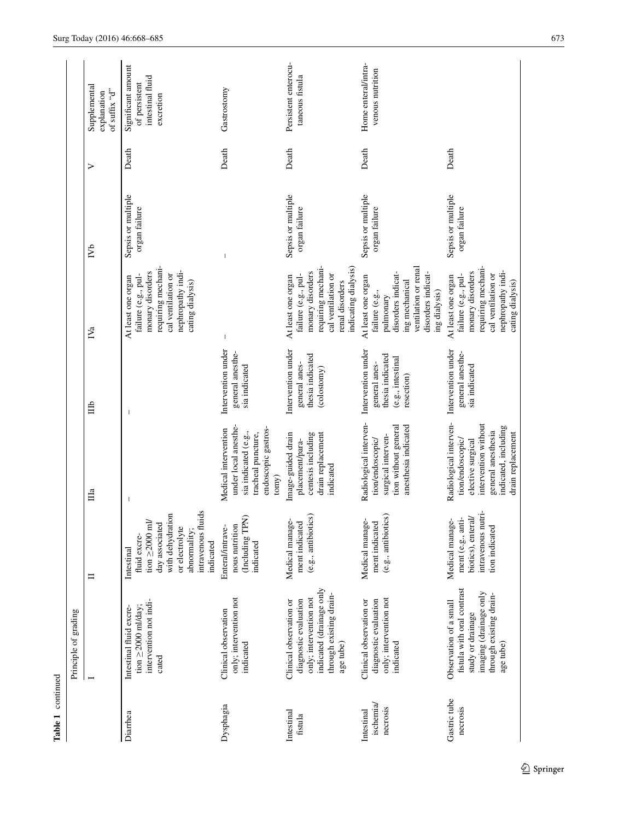|                                     | Principle of grading                                                                                                                           |                                                                                                                                                               |                                                                                                                                                            |                                                                                            |                                                                                                                                                          |                                     |       |                                                                      |
|-------------------------------------|------------------------------------------------------------------------------------------------------------------------------------------------|---------------------------------------------------------------------------------------------------------------------------------------------------------------|------------------------------------------------------------------------------------------------------------------------------------------------------------|--------------------------------------------------------------------------------------------|----------------------------------------------------------------------------------------------------------------------------------------------------------|-------------------------------------|-------|----------------------------------------------------------------------|
|                                     |                                                                                                                                                | Ξ                                                                                                                                                             | $\mathbb{H}^a$                                                                                                                                             | 自                                                                                          | IV <sub>a</sub>                                                                                                                                          | $N_{\rm b}$                         | ⋗     | Supplemental<br>of suffix " $d"$<br>explanation                      |
| Diarrhea                            | intervention not indi-<br>tion $\geq$ 2000 ml/day;<br>Intestinal fluid excre-<br>cated                                                         | intravenous fluids<br>with dehydration<br>tion $\geq$ 2000 ml/<br>day associated<br>or electrolyte<br>abnormality;<br>fluid excre-<br>indicated<br>Intestinal |                                                                                                                                                            |                                                                                            | requiring mechani-<br>nephropathy indi-<br>monary disorders<br>cal ventilation or<br>failure (e.g., pul-<br>At least one organ<br>cating dialysis)       | Sepsis or multiple<br>organ failure | Death | Significant amount<br>intestinal fluid<br>of persistent<br>excretion |
| Dysphagia                           | only; intervention not<br>Clinical observation<br>indicated                                                                                    | (Including TPN)<br>nous nutrition<br>Enteral/intrave-<br>indicated                                                                                            | under local anesthe-<br>Medical intervention<br>endoscopic gastros-<br>sia indicated (e.g.,<br>tracheal puncture,<br>tomy)                                 | Intervention under<br>general anesthe-<br>sia indicated                                    |                                                                                                                                                          |                                     | Death | Gastrostomy                                                          |
| Intestinal<br>fistula               | indicated (drainage only<br>through existing drain-<br>only; intervention not<br>diagnostic evaluation<br>Clinical observation or<br>age tube) | (e.g., antibiotics)<br>neutcal manage-<br>ment indicated<br>Medical manag                                                                                     | centesis including<br>Image-guided drain<br>drain replacement<br>placement/para-<br>indicated                                                              | Intervention under<br>thesia indicated<br>general anes-<br>(colostomy)                     | indicating dialysis)<br>requiring mechani-<br>monary disorders<br>failure (e.g., pul-<br>cal ventilation or<br>At least one organ<br>renal disorders     | Sepsis or multiple<br>organ failure | Death | Persistent enterocu-<br>taneous fistula                              |
| ischemia/<br>necrosis<br>Intestinal | only; intervention not<br>diagnostic evaluation<br>Clinical observation or<br>indicated                                                        | (e.g., antibiotics)<br>ż,<br>ment indicated<br>Medical manag                                                                                                  | Radiological interven-<br>anesthesia indicated<br>tion without general<br>surgical interven-<br>tion/endoscopic/                                           | Intervention under<br>thesia indicated<br>(e.g., intestinal<br>general anes-<br>resection) | ventilation or renal<br>disorders indicat-<br>disorders indicat-<br>At least one organ<br>ing mechanical<br>ing dialysis)<br>failure (e.g.,<br>pulmonary | Sepsis or multiple<br>organ failure | Death | Home enteral/intra-<br>venous nutrition                              |
| Gastric tube<br>necrosis            | fistula with oral contrast<br>imaging (drainage only<br>through existing drain-<br>Observation of a small<br>study or drainage<br>age tube)    | intravenous nutri-<br>ment (e.g., anti-<br>biotics), enteral/<br>Medical manage-<br>tion indicated                                                            | Radiological interven-<br>intervention without<br>indicated, including<br>general anesthesia<br>drain replacement<br>tion/endoscopic/<br>elective surgical | Intervention under<br>general anesthe-<br>sia indicated                                    | requiring mechani-<br>nephropathy indi-<br>monary disorders<br>cal ventilation or<br>failure (e.g., pul-<br>At least one organ<br>cating dialysis)       | Sepsis or multiple<br>organ failure | Death |                                                                      |

Table 1 continued

 $\underline{\textcircled{\tiny 2}}$  Springer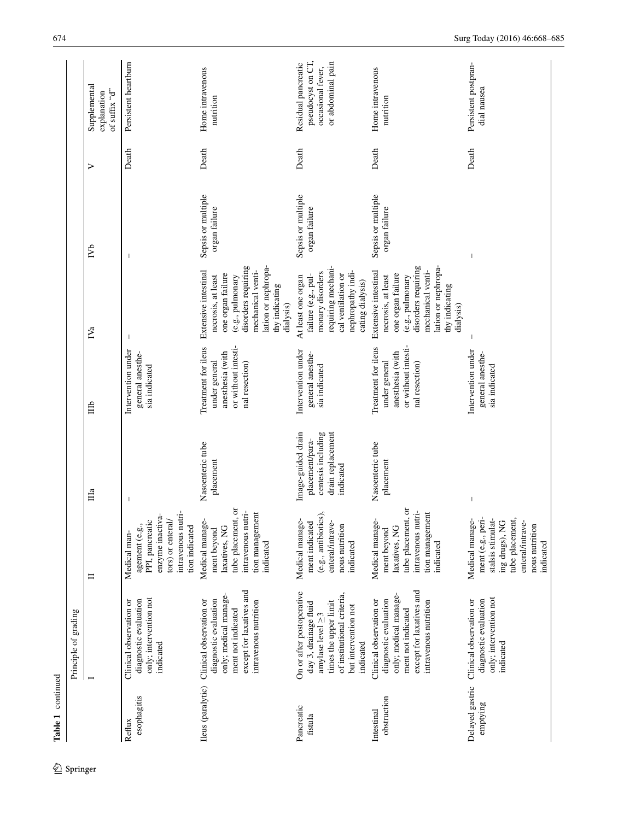|                             | Principle of grading                                                                                                                                                     |                                                                                                                                                   |                                                                                               |                                                                                                   |                                                                                                                                                                                       |                                     |       |                                                                                    |
|-----------------------------|--------------------------------------------------------------------------------------------------------------------------------------------------------------------------|---------------------------------------------------------------------------------------------------------------------------------------------------|-----------------------------------------------------------------------------------------------|---------------------------------------------------------------------------------------------------|---------------------------------------------------------------------------------------------------------------------------------------------------------------------------------------|-------------------------------------|-------|------------------------------------------------------------------------------------|
|                             |                                                                                                                                                                          | $\equiv$                                                                                                                                          | $\Box$                                                                                        | 峊                                                                                                 | $\mathbb{N}_a$                                                                                                                                                                        | $\mathbb{R}^2$                      | >     | Supplemental<br>of suffix "d"<br>explanation                                       |
| esophagitis<br>Reflux       | only; intervention not<br>diagnostic evaluation<br>Clinical observation or<br>indicated                                                                                  | enzyme inactiva<br>intravenous nutr<br>tors) or enteral/<br>PPI, pancreatic<br>agement (e.g.,<br>tion indicated<br>Medical man-                   | $\mathbf{I}$                                                                                  | Intervention under<br>general anesthe-<br>sia indicated                                           |                                                                                                                                                                                       |                                     | Death | Persistent heartburn                                                               |
|                             | except for laxatives and<br>only; medical manage-<br>diagnostic evaluation<br>intravenous nutrition<br>Ileus (paralytic) Clinical observation or<br>ment not indicated   | ð<br>intravenous nutri-<br>tion management<br>tube placement,<br>Medical manage-<br>laxatives, NG<br>ment beyond<br>indicated                     | Nasoenteric tube<br>placement                                                                 | or without intesti-<br>Treatment for ileus<br>anesthesia (with<br>under general<br>nal resection) | lation or nephropa-<br>disorders requiring<br>Extensive intestinal<br>mechanical venti-<br>one organ failure<br>necrosis, at least<br>(e.g., pulmonary<br>thy indicating<br>dialysis) | Sepsis or multiple<br>organ failure | Death | Home intravenous<br>nutrition                                                      |
| Pancreatic<br>fistula       | On or after postoperative<br>of institutional criteria,<br>times the upper limit<br>day 3, drainage fluid<br>but intervention not<br>amylase level $\geq$ 3<br>indicated | (e.g., antibiotics)<br>Medical manage-<br>ment indicated<br>enteral/intrave-<br>nous nutrition<br>indicated                                       | centesis including<br>drain replacement<br>Image-guided drain<br>placement/para-<br>indicated | Intervention under<br>general anesthe-<br>sia indicated                                           | requiring mechani-<br>nephropathy indi-<br>monary disorders<br>cal ventilation or<br>failure (e.g., pul-<br>At least one organ<br>cating dialysis)                                    | Sepsis or multiple<br>organ failure | Death | pseudocyst on CT,<br>or abdominal pain<br>Residual pancreatic<br>occasional fever, |
| obstruction<br>Intestinal   | except for laxatives and<br>only; medical manage-<br>diagnostic evaluation<br>Clinical observation or<br>intravenous nutrition<br>ment not indicated                     | $\overline{\text{o}}$<br>intravenous nutri-<br>tion management<br>tube placement,<br>Medical manage-<br>laxatives, NG<br>ment beyond<br>indicated | Nasoenteric tube<br>placement                                                                 | or without intesti-<br>Treatment for ileus<br>anesthesia (with<br>under general<br>nal resection) | lation or nephropa-<br>disorders requiring<br>mechanical venti-<br>Extensive intestinal<br>one organ failure<br>necrosis, at least<br>(e.g., pulmonary<br>thy indicating<br>dialysis) | Sepsis or multiple<br>organ failure | Death | Home intravenous<br>nutrition                                                      |
| Delayed gastric<br>emptying | only; intervention not<br>diagnostic evaluation<br>Clinical observation or<br>indicated                                                                                  | ment (e.g., peri-<br>stalsis stimulat-<br>Medical manage-<br>tube placement,<br>ing drugs), NG<br>enteral/intrave-<br>nous nutrition<br>indicated |                                                                                               | Intervention under<br>general anesthe-<br>sia indicated                                           |                                                                                                                                                                                       |                                     | Death | Persistent postpran-<br>dial nausea                                                |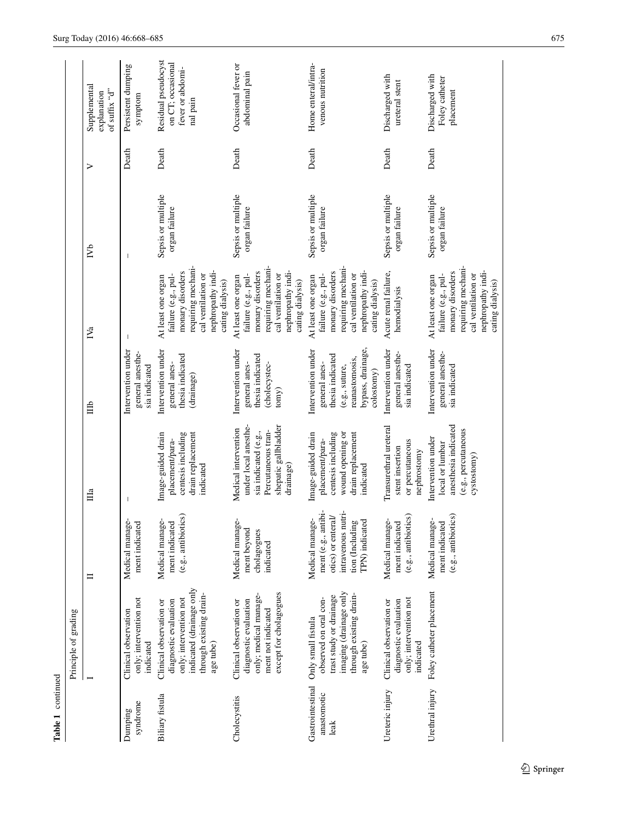|                                         | Principle of grading                                                                                                                           |                                                                                                                         |                                                                                                                                 |                                                                                                                                |                                                                                                                                                    |                                     |       |                                                                          |
|-----------------------------------------|------------------------------------------------------------------------------------------------------------------------------------------------|-------------------------------------------------------------------------------------------------------------------------|---------------------------------------------------------------------------------------------------------------------------------|--------------------------------------------------------------------------------------------------------------------------------|----------------------------------------------------------------------------------------------------------------------------------------------------|-------------------------------------|-------|--------------------------------------------------------------------------|
|                                         |                                                                                                                                                | $\blacksquare$                                                                                                          | $\Box$                                                                                                                          | 自                                                                                                                              | IV <sub>a</sub>                                                                                                                                    | $\sum_{i=1}^{n}$                    | ➢     | Supplemental<br>of suffix " $d"$<br>explanation                          |
| syndrome<br>Dumping                     | only; intervention not<br>Clinical observation<br>indicated                                                                                    | Medical manage<br>ment indicated                                                                                        |                                                                                                                                 | Intervention under<br>general anesthe-<br>sia indicated                                                                        |                                                                                                                                                    |                                     | Death | Persistent dumping<br>symptom                                            |
| Biliary fistula                         | indicated (drainage only<br>through existing drain-<br>only; intervention not<br>diagnostic evaluation<br>Clinical observation or<br>age tube) | (e.g., antibiotics)<br>Medical manage-<br>ment indicated                                                                | drain replacement<br>Image-guided drain<br>centesis including<br>placement/para-<br>indicated                                   | Intervention under<br>thesia indicated<br>general anes-<br>(drainage)                                                          | requiring mechani-<br>nephropathy indi-<br>monary disorders<br>cal ventilation or<br>failure (e.g., pul-<br>At least one organ<br>cating dialysis) | Sepsis or multiple<br>organ failure | Death | Residual pseudocyst<br>on CT; occasional<br>fever or abdomi-<br>nal pain |
| Cholecystitis                           | except for cholagogues<br>only; medical manage-<br>diagnostic evaluation<br>Clinical observation or<br>ment not indicated                      | Medical manage-<br>ment beyond<br>cholagogues<br>indicated                                                              | under local anesthe-<br>shepatic gallbladder<br>Medical intervention<br>Percutaneous tran-<br>sia indicated (e.g.,<br>drainage) | Intervention under<br>thesia indicated<br>general anes-<br>(cholecystec-<br>tomy)                                              | requiring mechani-<br>nephropathy indi-<br>monary disorders<br>cal ventilation or<br>failure (e.g., pul-<br>At least one organ<br>cating dialysis) | Sepsis or multiple<br>organ failure | Death | Occasional fever or<br>abdominal pain                                    |
| Gastrointestinal<br>anastomotic<br>leak | imaging (drainage only<br>through existing drain-<br>trast study or drainage<br>observed on oral con-<br>Only small fistula<br>age tube)       | ment (e.g., antibi-<br>intravenous nutri-<br>otics) or enteral/<br>Medical manage-<br>tion (Including<br>TPN) indicated | centesis including<br>wound opening or<br>drain replacement<br>Image-guided drain<br>placement/para-<br>indicated               | bypass, drainage,<br>Intervention under<br>thesia indicated<br>reanastomosis,<br>general anes-<br>(e.g., suture,<br>colostomy) | requiring mechani-<br>nephropathy indi-<br>monary disorders<br>cal ventilation or<br>failure (e.g., pul-<br>At least one organ<br>cating dialysis) | Sepsis or multiple<br>organ failure | Death | Home enteral/intra-<br>venous nutrition                                  |
| Ureteric injury                         | only; intervention not<br>diagnostic evaluation<br>Clinical observation or<br>indicated                                                        | (e.g., antibiotics)<br>Medical manage-<br>ment indicated                                                                | Transurethral ureteral<br>or percutaneous<br>stent insertion<br>nephrostomy                                                     | Intervention under<br>general anesthe-<br>sia indicated                                                                        | Acute renal failure,<br>hemodialysis                                                                                                               | Sepsis or multiple<br>organ failure | Death | Discharged with<br>ureteral stent                                        |
| Urethral injury                         | Foley catheter placement                                                                                                                       | (e.g., antibiotics)<br>Medical manage-<br>ment indicated                                                                | anesthesia indicated<br>(e.g., percutaneous<br>Intervention under<br>local or lumbar<br>cystostomy)                             | Intervention under<br>general anesthe-<br>sia indicated                                                                        | requiring mechani-<br>nephropathy indi-<br>monary disorders<br>cal ventilation or<br>failure (e.g., pul-<br>At least one organ<br>cating dialysis) | Sepsis or multiple<br>organ failure | Death | Discharged with<br>Foley catheter<br>placement                           |

Table 1 continued

 $\underline{\textcircled{\tiny 2}}$  Springer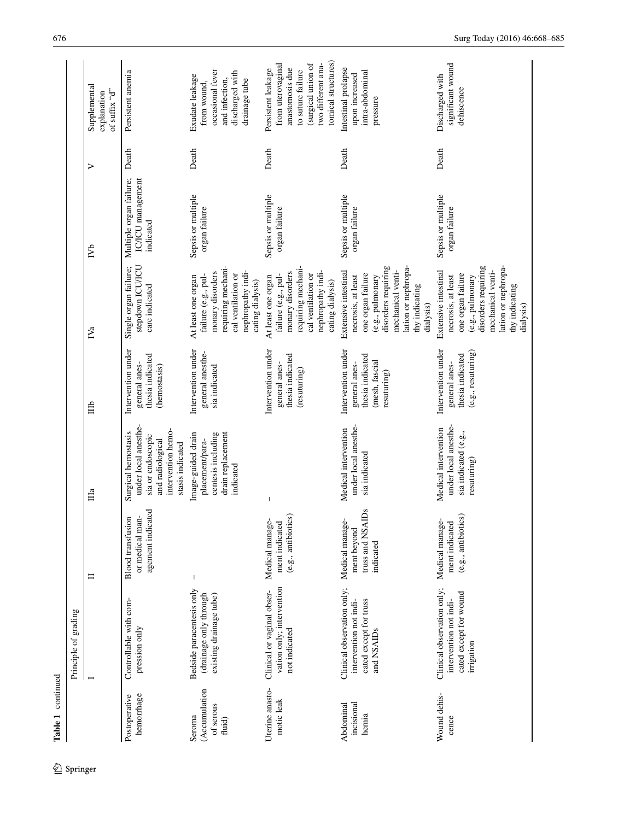|                                                | Principle of grading                                                                         |                                                                  |                                                                                                                                |                                                                                          |                                                                                                                                                                                       |                                                           |       |                                                                                                                                                    |
|------------------------------------------------|----------------------------------------------------------------------------------------------|------------------------------------------------------------------|--------------------------------------------------------------------------------------------------------------------------------|------------------------------------------------------------------------------------------|---------------------------------------------------------------------------------------------------------------------------------------------------------------------------------------|-----------------------------------------------------------|-------|----------------------------------------------------------------------------------------------------------------------------------------------------|
|                                                |                                                                                              | ᄇ                                                                | Ша                                                                                                                             | 自                                                                                        | IV <sub>a</sub>                                                                                                                                                                       | ГVb                                                       | ⋗     | Supplemental<br>of suffix "d"<br>explanation                                                                                                       |
| hemorrhage<br>Postoperative                    | Controllable with com-<br>pression only                                                      | agement indicated<br>or medical man-<br><b>Blood transfusion</b> | under local anesthe-<br>intervention hemo-<br>Surgical hemostasis<br>sia or endoscopic<br>and radiological<br>stasis indicated | Intervention under<br>thesia indicated<br>general anes-<br>(hemostasis)                  | stepdown ICU/ICU<br>Single organ failure;<br>care indicated                                                                                                                           | Multiple organ failure;<br>IC/ICU management<br>indicated | Death | Persistent anemia                                                                                                                                  |
| (Accumulation<br>of serous<br>Seroma<br>fluid) | Bedside paracentesis only<br>(drainage only through<br>existing drainage tube)               |                                                                  | drain replacement<br>centesis including<br>Image-guided drain<br>placement/para-<br>indicated                                  | Intervention under<br>general anesthe-<br>sia indicated                                  | requiring mechani-<br>nephropathy indi-<br>monary disorders<br>cal ventilation or<br>failure (e.g., pul-<br>At least one organ<br>cating dialysis)                                    | Sepsis or multiple<br>organ failure                       | Death | occasional fever<br>discharged with<br>Exudate leakage<br>and infection,<br>drainage tube<br>from wound,                                           |
| Uterine anasto-<br>motic leak                  | vation only; intervention<br>Clinical or vaginal obser-<br>not indicated                     | (e.g., antibiotics)<br>Medical manage<br>ment indicated          |                                                                                                                                | Intervention under<br>thesia indicated<br>general anes-<br>(resuturing)                  | requiring mechani-<br>nephropathy indi-<br>monary disorders<br>cal ventilation or<br>failure (e.g., pul-<br>At least one organ<br>cating dialysis)                                    | Sepsis or multiple<br>organ failure                       | Death | tomical structures)<br>(surgical union of<br>two different ana-<br>from uterovaginal<br>anastomosis due<br>Persistent leakage<br>to suture failure |
| incisional<br>Abdominal<br>hernia              | Clinical observation only;<br>cated except for truss<br>intervention not indi-<br>and NSAIDs | truss and NSAIDs<br>Medical manage<br>ment beyond<br>indicated   | under local anesthe-<br>Medical intervention<br>sia indicated                                                                  | Intervention under<br>thesia indicated<br>(mesh, fascial<br>general anes-<br>resuturing) | disorders requiring<br>lation or nephropa-<br>Extensive intestinal<br>mechanical venti-<br>one organ failure<br>necrosis, at least<br>(e.g., pulmonary<br>thy indicating<br>dialysis) | Sepsis or multiple<br>organ failure                       | Death | Intestinal prolapse<br>intra-abdominal<br>upon increased<br>pressure                                                                               |
| Wound dehis-<br>cence                          | Clinical observation only;<br>cated except for wound<br>intervention not indi-<br>irrigation | (e.g., antibiotics)<br>Medical manage-<br>ment indicated         | under local anesthe-<br>Medical intervention<br>sia indicated (e.g.,<br>resuturing)                                            | Intervention under<br>(e.g., resulting)<br>thesia indicated<br>general anes-             | disorders requiring<br>lation or nephropa-<br>Extensive intestinal<br>mechanical venti-<br>one organ failure<br>necrosis, at least<br>(e.g., pulmonary<br>thy indicating<br>dialysis) | Sepsis or multiple<br>organ failure                       | Death | significant wound<br>Discharged with<br>dehiscence                                                                                                 |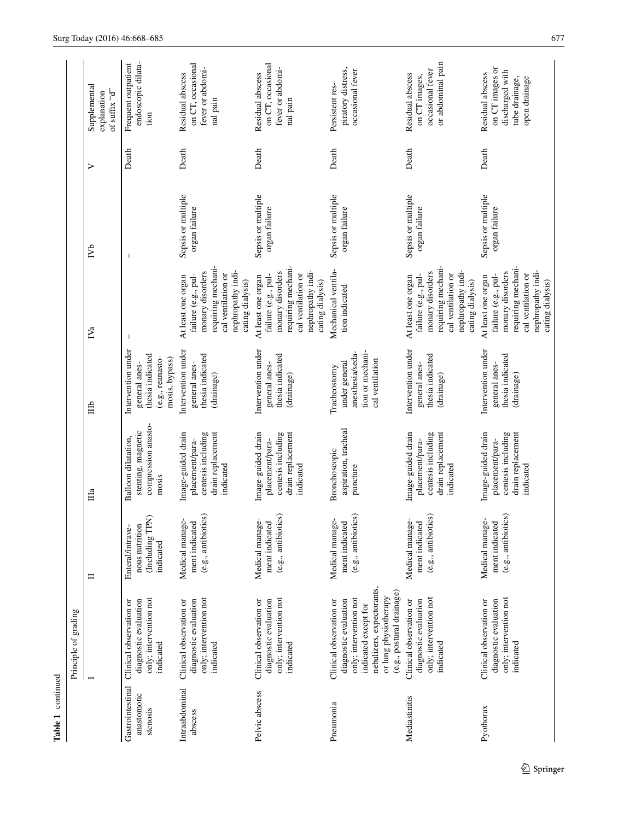|                                             | Principle of grading                                                                                                                                                                  |                                                                    |                                                                                               |                                                                                               |                                                                                                                                                    |                                     |       |                                                                                           |
|---------------------------------------------|---------------------------------------------------------------------------------------------------------------------------------------------------------------------------------------|--------------------------------------------------------------------|-----------------------------------------------------------------------------------------------|-----------------------------------------------------------------------------------------------|----------------------------------------------------------------------------------------------------------------------------------------------------|-------------------------------------|-------|-------------------------------------------------------------------------------------------|
|                                             |                                                                                                                                                                                       | ᄇ                                                                  | Ща                                                                                            | 自                                                                                             | IV <sub>a</sub>                                                                                                                                    | ŽЪ                                  | ⋗     | Supplemental<br>of suffix " $d"$<br>explanation                                           |
| Gastrointestinal<br>anastomotic<br>stenosis | only; intervention not<br>diagnostic evaluation<br>Clinical observation or<br>indicated                                                                                               | (Including TPN)<br>nous nutrition<br>Enteral/intrave-<br>indicated | compression anasto-<br>stenting, magnetic<br>Balloon dilatation,<br>mosis                     | Intervention under<br>thesia indicated<br>(e.g., reanasto-<br>mosis, bypass)<br>general anes- |                                                                                                                                                    |                                     | Death | endoscopic dilata-<br>Frequent outpatient<br>tion                                         |
| Intraabdominal<br>abscess                   | only; intervention not<br>diagnostic evaluation<br>Clinical observation or<br>indicated                                                                                               | (e.g., antibiotics)<br>Medical manage-<br>ment indicated           | centesis including<br>drain replacement<br>Image-guided drain<br>placement/para-<br>indicated | Intervention under<br>thesia indicated<br>general anes-<br>(drainage)                         | requiring mechani-<br>nephropathy indi-<br>monary disorders<br>cal ventilation or<br>failure (e.g., pul-<br>At least one organ<br>cating dialysis) | Sepsis or multiple<br>organ failure | Death | on CT, occasional<br>fever or abdomi-<br>Residual abscess<br>nal pain                     |
| Pelvic abscess                              | only; intervention not<br>diagnostic evaluation<br>Clinical observation or<br>indicated                                                                                               | (e.g., antibiotics)<br>Medical manage-<br>ment indicated           | Image-guided drain<br>centesis including<br>drain replacement<br>placement/para-<br>indicated | Intervention under<br>thesia indicated<br>general anes-<br>(drainage)                         | requiring mechani-<br>nephropathy indi-<br>monary disorders<br>cal ventilation or<br>failure (e.g., pul-<br>At least one organ<br>cating dialysis) | Sepsis or multiple<br>organ failure | Death | on CT, occasional<br>fever or abdomi-<br>Residual abscess<br>nal pain                     |
| Pneumonia                                   | nebulizers, expectorants,<br>(e.g., postural drainage)<br>only; intervention not<br>or lung physiotherapy<br>diagnostic evaluation<br>Clinical observation or<br>indicated except for | (e.g., antibiotics)<br>Medical manage-<br>ment indicated           | aspiration, tracheal<br>Bronchoscopic<br>puncture                                             | tion or mechani-<br>anesthesia/seda-<br>cal ventilation<br>under general<br>Tracheostomy      | Mechanical ventila-<br>tion indicated                                                                                                              | Sepsis or multiple<br>organ failure | Death | piratory distress,<br>occasional fever<br>Persistent res-                                 |
| Mediastinitis                               | only; intervention not<br>diagnostic evaluation<br>Clinical observation or<br>indicated                                                                                               | (e.g., antibiotics)<br>Medical manage-<br>ment indicated           | Image-guided drain<br>centesis including<br>drain replacement<br>placement/para-<br>indicated | Intervention under<br>thesia indicated<br>general anes-<br>(drainage)                         | requiring mechani-<br>nephropathy indi-<br>monary disorders<br>cal ventilation or<br>failure (e.g., pul-<br>At least one organ<br>cating dialysis) | Sepsis or multiple<br>organ failure | Death | or abdominal pain<br>occasional fever<br>Residual abscess<br>on CT images,                |
| Pyothorax                                   | only; intervention not<br>diagnostic evaluation<br>Clinical observation or<br>indicated                                                                                               | (e.g., antibiotics)<br>Medical manage-<br>ment indicated           | drain replacement<br>Image-guided drain<br>centesis including<br>placement/para-<br>indicated | Intervention under<br>thesia indicated<br>general anes-<br>(drainage)                         | requiring mechani-<br>nephropathy indi-<br>monary disorders<br>cal ventilation or<br>failure (e.g., pul-<br>At least one organ<br>cating dialysis) | Sepsis or multiple<br>organ failure | Death | on CT images or<br>discharged with<br>Residual abscess<br>open drainage<br>tube drainage, |

Table 1 continued

 $\underline{\textcircled{\tiny 2}}$  Springer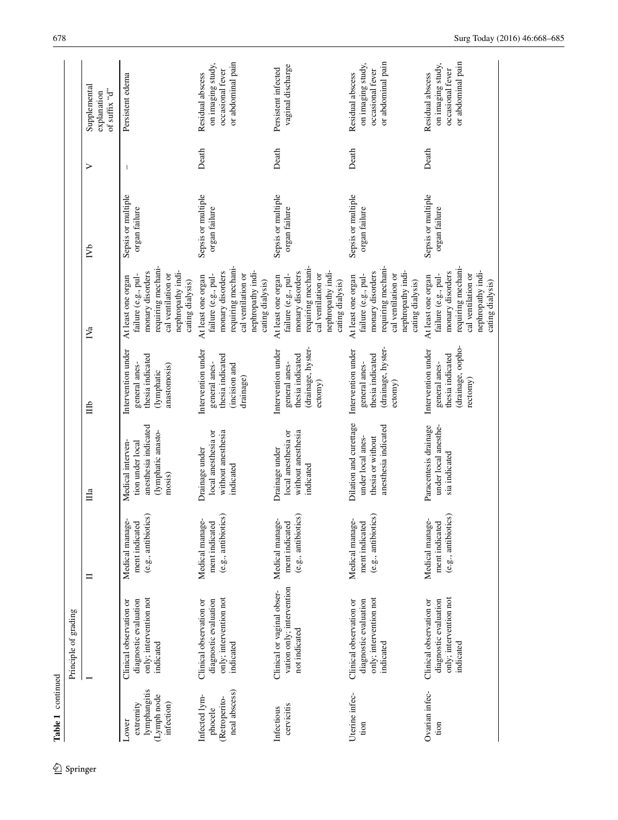| $\hat{Z}$ Springer | Table 1 continued                                               | Principle of grading                                                                    |                                                          |                                                                                               |                                                                                           |                                                                                                                                                    |                                     |       |                                                                                |
|--------------------|-----------------------------------------------------------------|-----------------------------------------------------------------------------------------|----------------------------------------------------------|-----------------------------------------------------------------------------------------------|-------------------------------------------------------------------------------------------|----------------------------------------------------------------------------------------------------------------------------------------------------|-------------------------------------|-------|--------------------------------------------------------------------------------|
|                    |                                                                 |                                                                                         | $\equiv$                                                 | Ша                                                                                            | 自                                                                                         | $N_{a}$                                                                                                                                            | $\sum_{i=1}^{n}$                    | ⋗     | Supplemental<br>of suffix "d"<br>explanation                                   |
|                    | lymphangitis<br>(Lymph node<br>infection)<br>extremity<br>Lower | only; intervention not<br>diagnostic evaluation<br>Clinical observation or<br>indicated | (e.g., antibiotics)<br>Medical manage<br>ment indicated  | anesthesia indicated<br>(lymphatic anasto-<br>Medical interven-<br>tion under local<br>mosis) | Intervention under<br>thesia indicated<br>general anes-<br>anastomosis)<br>(lymphatic     | requiring mechani-<br>nephropathy indi-<br>monary disorders<br>cal ventilation or<br>failure (e.g., pul-<br>At least one organ<br>cating dialysis) | Sepsis or multiple<br>organ failure |       | Persistent edema                                                               |
|                    | neal abscess)<br>Infected lym-<br>(Retroperito-<br>phocele      | only; intervention not<br>diagnostic evaluation<br>Clinical observation or<br>indicated | (e.g., antibiotics)<br>Medical manage-<br>ment indicated | without anesthesia<br>local anesthesia or<br>Drainage under<br>indicated                      | Intervention under<br>thesia indicated<br>general anes-<br>(incision and<br>drainage)     | requiring mechani-<br>nephropathy indi-<br>monary disorders<br>cal ventilation or<br>failure (e.g., pul-<br>At least one organ<br>cating dialysis) | Sepsis or multiple<br>organ failure | Death | or abdominal pain<br>on imaging study,<br>occasional fever<br>Residual abscess |
|                    | cervicitis<br>Infectious                                        | vation only; intervention<br>Clinical or vaginal obser-<br>not indicated                | (e.g., antibiotics)<br>Medical manage-<br>ment indicated | without anesthesia<br>local anesthesia or<br>Drainage under<br>indicated                      | (drainage, hyster-<br>Intervention under<br>thesia indicated<br>general anes-<br>ecc(omy) | requiring mechani-<br>nephropathy indi-<br>monary disorders<br>cal ventilation or<br>failure (e.g., pul-<br>At least one organ<br>cating dialysis) | Sepsis or multiple<br>organ failure | Death | vaginal discharge<br>Persistent infected                                       |
|                    | Uterine infec-<br>tion                                          | only; intervention not<br>diagnostic evaluation<br>Clinical observation or<br>indicated | (e.g., antibiotics)<br>Medical manage-<br>ment indicated | Dilation and curettage<br>anesthesia indicated<br>under local anes-<br>thesia or without      | (drainage, hyster-<br>Intervention under<br>thesia indicated<br>general anes-<br>eccomy)  | requiring mechani-<br>nephropathy indi-<br>monary disorders<br>cal ventilation or<br>failure (e.g., pul-<br>At least one organ<br>cating dialysis) | Sepsis or multiple<br>organ failure | Death | or abdominal pain<br>on imaging study,<br>occasional fever<br>Residual abscess |
|                    | Ovarian infec-<br>tion                                          | only; intervention not<br>diagnostic evaluation<br>Clinical observation or<br>indicated | (e.g., antibiotics)<br>Medical manage-<br>ment indicated | Paracentesis drainage<br>under local anesthe-<br>sia indicated                                | (drainage, oopho-<br>Intervention under<br>thesia indicated<br>general anes-<br>rectomy)  | requiring mechani-<br>nephropathy indi-<br>monary disorders<br>cal ventilation or<br>failure (e.g., pul-<br>At least one organ<br>cating dialysis) | Sepsis or multiple<br>organ failure | Death | or abdominal pain<br>on imaging study,<br>occasional fever<br>Residual abscess |

 $\underline{\textcircled{\tiny 2}}$  Springer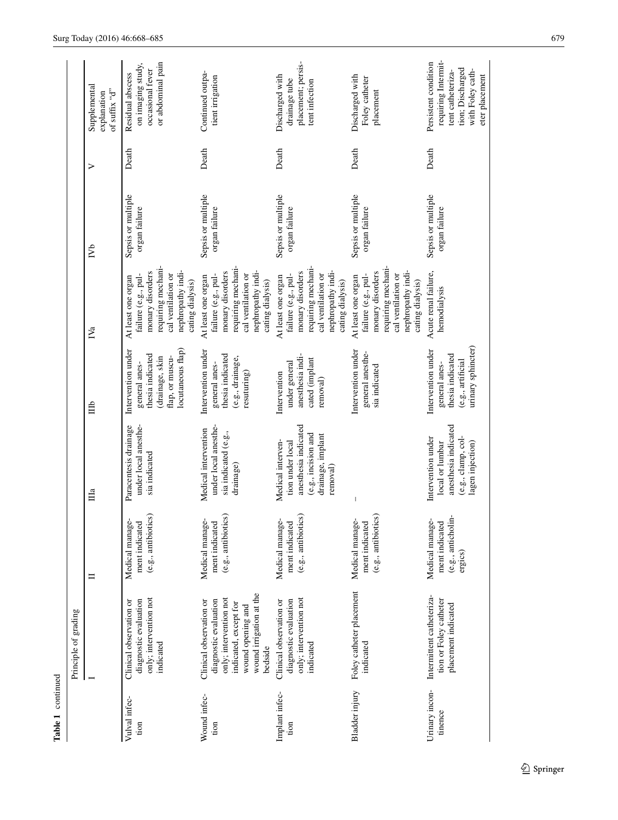|                           | Principle of grading                                                                                                                                           |                                                                    |                                                                                                                       |                                                                                                                    |                                                                                                                                                    |                                     |                  |                                                                                                                            |
|---------------------------|----------------------------------------------------------------------------------------------------------------------------------------------------------------|--------------------------------------------------------------------|-----------------------------------------------------------------------------------------------------------------------|--------------------------------------------------------------------------------------------------------------------|----------------------------------------------------------------------------------------------------------------------------------------------------|-------------------------------------|------------------|----------------------------------------------------------------------------------------------------------------------------|
|                           |                                                                                                                                                                | Ξ                                                                  | $\Box$ a                                                                                                              | Ê                                                                                                                  | IV <sub>a</sub>                                                                                                                                    | $\sum_{i=1}^{n}$                    | $\triangleright$ | Supplemental<br>of suffix "d"<br>explanation                                                                               |
| Vulval infec-<br>tion     | only; intervention not<br>diagnostic evaluation<br>Clinical observation or<br>indicated                                                                        | (e.g., antibiotics)<br>Medical manage<br>ment indicated            | Paracentesis drainage<br>under local anesthe-<br>sia indicated                                                        | locutaneous flap)<br>Intervention under<br>thesia indicated<br>flap, or muscu-<br>(drainage, skin<br>general anes- | requiring mechani-<br>nephropathy indi-<br>monary disorders<br>cal ventilation or<br>failure (e.g., pul-<br>At least one organ<br>cating dialysis) | Sepsis or multiple<br>organ failure | Death            | or abdominal pain<br>on imaging study,<br>occasional fever<br>Residual abscess                                             |
| Wound infec-<br>tion      | wound irrigation at the<br>only; intervention not<br>diagnostic evaluation<br>Clinical observation or<br>indicated, except for<br>wound opening and<br>bedside | (e.g., antibiotics)<br>Medical manage-<br>ment indicated           | under local anesthe-<br>Medical intervention<br>sia indicated (e.g.,<br>drainage)                                     | Intervention under<br>thesia indicated<br>(e.g., drainage,<br>general anes-<br>resuturing)                         | requiring mechani-<br>nephropathy indi-<br>monary disorders<br>cal ventilation or<br>failure (e.g., pul-<br>At least one organ<br>cating dialysis) | Sepsis or multiple<br>organ failure | Death            | Continued outpa-<br>tient irrigation                                                                                       |
| Implant infec-<br>tion    | only; intervention not<br>diagnostic evaluation<br>Clinical observation or<br>indicated                                                                        | (e.g., antibiotics)<br>Medical manage-<br>ment indicated           | anesthesia indicated<br>(e.g., incision and<br>drainage, implant<br>Medical interven-<br>tion under local<br>removal) | anesthesia indi-<br>cated (implant<br>under general<br>Intervention<br>removal)                                    | requiring mechani-<br>nephropathy indi-<br>monary disorders<br>cal ventilation or<br>failure (e.g., pul-<br>At least one organ<br>cating dialysis) | Sepsis or multiple<br>organ failure | Death            | placement; persis-<br>Discharged with<br>drainage tube<br>tent infection                                                   |
| Bladder injury            | Foley catheter placement<br>indicated                                                                                                                          | (e.g., antibiotics)<br>Medical manage-<br>ment indicated           |                                                                                                                       | Intervention under<br>general anesthe-<br>sia indicated                                                            | requiring mechani-<br>nephropathy indi-<br>monary disorders<br>cal ventilation or<br>failure (e.g., pul-<br>At least one organ<br>cating dialysis) | Sepsis or multiple<br>organ failure | Death            | Discharged with<br>Foley catheter<br>placement                                                                             |
| Urinary incon-<br>tinence | Intermittent catheteriza-<br>tion or Foley catheter<br>placement indicated                                                                                     | (e.g., anticholin-<br>Medical manage-<br>ment indicated<br>ergics) | anesthesia indicated<br>(e.g., clamp, col-<br>Intervention under<br>local or lumbar<br>lagen injection)               | urinary sphincter)<br>Intervention under<br>thesia indicated<br>(e.g., artificial<br>general anes-                 | Acute renal failure,<br>hemodialysis                                                                                                               | Sepsis or multiple<br>organ failure | Death            | requiring Intermit-<br>Persistent condition<br>tion; Discharged<br>with Foley cath-<br>tent catheteriza-<br>eter placement |

**Table 1** continued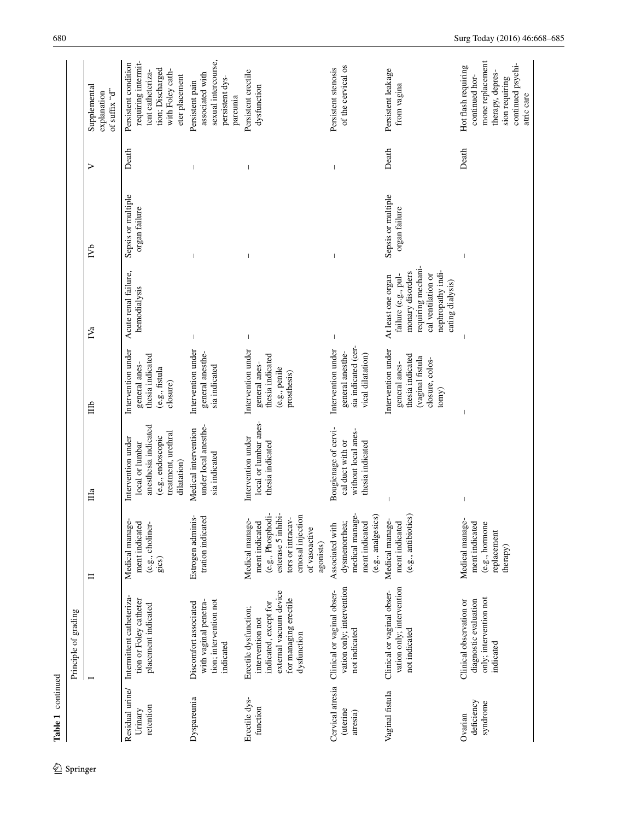|                                          | Principle of grading                                                                                                                 |                                                                                                                                                     |                                                                                                                          |                                                                                                        |                                                                                                                                                    |                                     |       |                                                                                                                                    |
|------------------------------------------|--------------------------------------------------------------------------------------------------------------------------------------|-----------------------------------------------------------------------------------------------------------------------------------------------------|--------------------------------------------------------------------------------------------------------------------------|--------------------------------------------------------------------------------------------------------|----------------------------------------------------------------------------------------------------------------------------------------------------|-------------------------------------|-------|------------------------------------------------------------------------------------------------------------------------------------|
|                                          |                                                                                                                                      | ᄇ                                                                                                                                                   | Ша                                                                                                                       | 旨                                                                                                      | IV <sub>a</sub>                                                                                                                                    | ГVb                                 | ⋗     | Supplemental<br>of suffix "d"<br>explanation                                                                                       |
| Residual urine/<br>retention<br>Urinary  | Intermittent catheteriza-<br>tion or Foley catheter<br>placement indicated                                                           | Medical manage<br>ment indicated<br>(e.g., choliner-<br>gics)                                                                                       | anesthesia indicated<br>treatment, urethral<br>(e.g., endoscopic<br>Intervention under<br>local or lumbar<br>dilatation) | Intervention under<br>thesia indicated<br>general anes-<br>(e.g., fistula<br>closure)                  | Acute renal failure,<br>hemodialysis                                                                                                               | Sepsis or multiple<br>organ failure | Death | requiring intermit-<br>Persistent condition<br>tion; Discharged<br>with Foley cath-<br>tent catheteriza-<br>eter placement         |
| Dyspareunia                              | tion; intervention not<br>with vaginal penetra-<br>Discomfort associated<br>indicated                                                | Estrogen adminis-<br>tration indicated                                                                                                              | under local anesthe-<br>Medical intervention<br>sia indicated                                                            | Intervention under<br>general anesthe-<br>sia indicated                                                |                                                                                                                                                    |                                     |       | sexual intercourse,<br>associated with<br>persistent dys-<br>Persistent pain<br>pareunia                                           |
| Erectile dys-<br>function                | external vacuum device<br>for managing erectile<br>indicated, except for<br>Erectile dysfunction;<br>intervention not<br>dysfunction | (e.g., Phosphodi-<br>esterase 5 inhibi-<br>ernosal injection<br>tors or intracav-<br>Medical manage<br>ment indicated<br>of vasoactive<br>agonists) | local or lumbar anes-<br>Intervention under<br>thesia indicated                                                          | Intervention under<br>thesia indicated<br>general anes-<br>(e.g., penile<br>prosthesis)                | I                                                                                                                                                  |                                     |       | Persistent erectile<br>dysfunction                                                                                                 |
| Cervical atresia<br>(uterine<br>atresia) | vation only; intervention<br>Clinical or vaginal obser-<br>not indicated                                                             | medical manage-<br>(e.g., analgesics)<br>Associated with<br>dysmenorrhea;<br>ment indicated                                                         | Bougienage of cervi-<br>without local anes-<br>cal duct with or<br>thesia indicated                                      | sia indicated (cer-<br>Intervention under<br>general anesthe-<br>vical dilatation)                     |                                                                                                                                                    |                                     |       | of the cervical os<br>Persistent stenosis                                                                                          |
| Vaginal fistula                          | vation only; intervention<br>Clinical or vaginal obser-<br>not indicated                                                             | (e.g., antibiotics)<br>Medical manage<br>ment indicated                                                                                             |                                                                                                                          | Intervention under<br>thesia indicated<br>vaginal fistula<br>closure, colos-<br>general anes-<br>tomy) | requiring mechani-<br>nephropathy indi-<br>monary disorders<br>cal ventilation or<br>failure (e.g., pul-<br>At least one organ<br>cating dialysis) | Sepsis or multiple<br>organ failure | Death | Persistent leakage<br>from vagina                                                                                                  |
| deficiency<br>syndrome<br>Ovarian        | only; intervention not<br>Clinical observation or<br>diagnostic evaluation<br>indicated                                              | Medical manage<br>ment indicated<br>(e.g., hormone<br>replacement<br>therapy)                                                                       |                                                                                                                          |                                                                                                        |                                                                                                                                                    |                                     | Death | mone replacement<br>continued psychi-<br>Hot flash requiring<br>therapy, depres-<br>continued hor-<br>sion requiring<br>atric care |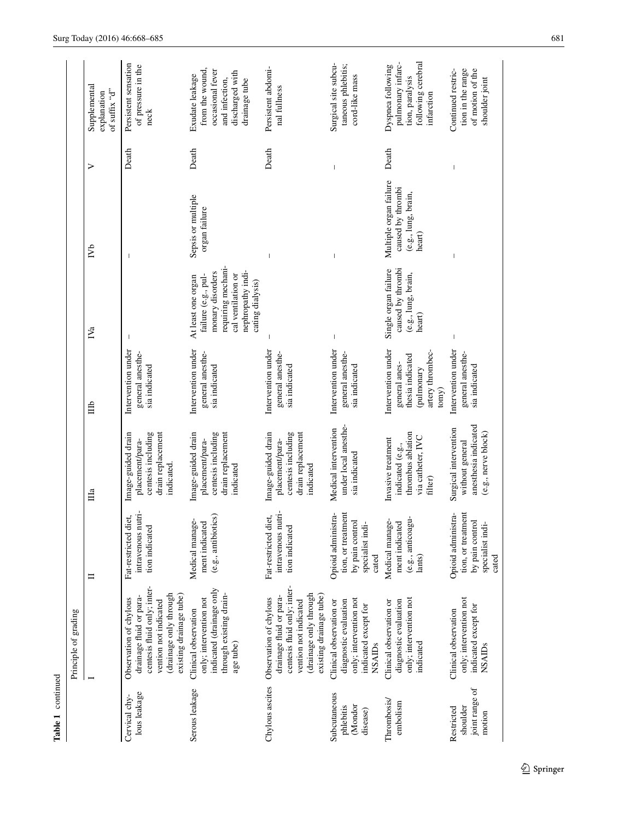| t<br>≏ |  |
|--------|--|
|        |  |
|        |  |

|                                                    | Principle of grading                                                                                                                                           |                                                                                          |                                                                                                |                                                                                                    |                                                                                                                                                    |                                                                              |       |                                                                                                              |
|----------------------------------------------------|----------------------------------------------------------------------------------------------------------------------------------------------------------------|------------------------------------------------------------------------------------------|------------------------------------------------------------------------------------------------|----------------------------------------------------------------------------------------------------|----------------------------------------------------------------------------------------------------------------------------------------------------|------------------------------------------------------------------------------|-------|--------------------------------------------------------------------------------------------------------------|
|                                                    |                                                                                                                                                                | Ξ                                                                                        | $\mathbb{H}^a$                                                                                 | 自                                                                                                  | $N_{a}$                                                                                                                                            | $\mathbb{N}^{\mathsf{b}}$                                                    | ⋗     | Supplemental<br>of suffix "d"<br>explanation                                                                 |
| lous leakage<br>Cervical chy-                      | centesis fluid only; inter-<br>drainage only through<br>existing drainage tube)<br>drainage fluid or para-<br>Observation of chylous<br>vention not indicated  | intravenous nutri-<br>Fat-restricted diet,<br>tion indicated                             | Image-guided drain<br>centesis including<br>drain replacement<br>placement/para-<br>indicated. | Intervention under<br>general anesthe-<br>sia indicated                                            |                                                                                                                                                    |                                                                              | Death | Persistent sensation<br>of pressure in the<br>neck                                                           |
| Serous leakage                                     | indicated (drainage only<br>through existing drain-<br>only; intervention not<br>Clinical observation<br>age tube)                                             | (e.g., antibiotics)<br>Medical manage-<br>ment indicated                                 | centesis including<br>Image-guided drain<br>drain replacement<br>placement/para-<br>indicated  | Intervention under<br>general anesthe-<br>sia indicated                                            | requiring mechani-<br>nephropathy indi-<br>monary disorders<br>cal ventilation or<br>failure (e.g., pul-<br>At least one organ<br>cating dialysis) | Sepsis or multiple<br>organ failure                                          | Death | from the wound,<br>occasional fever<br>discharged with<br>Exudate leakage<br>and infection,<br>drainage tube |
| Chylous ascites                                    | centesis fluid only; inter-<br>(drainage only through<br>existing drainage tube)<br>drainage fluid or para-<br>Observation of chylous<br>vention not indicated | intravenous nutri-<br>Fat-restricted diet,<br>tion indicated                             | Image-guided drain<br>drain replacement<br>centesis including<br>placement/para-<br>indicated  | Intervention under<br>general anesthe-<br>sia indicated                                            |                                                                                                                                                    |                                                                              | Death | Persistent abdomi-<br>nal fullness                                                                           |
| Subcutaneous<br>(Mondor<br>phlebitis<br>disease)   | only; intervention not<br>diagnostic evaluation<br>Clinical observation or<br>indicated except for<br><b>NSAIDs</b>                                            | Opioid administra-<br>tion, or treatment<br>by pain control<br>specialist indi-<br>cated | under local anesthe-<br>Medical intervention<br>sia indicated                                  | Intervention under<br>general anesthe-<br>sia indicated                                            | $\overline{1}$                                                                                                                                     | $\overline{\phantom{a}}$                                                     |       | Surgical site subcu-<br>taneous phlebitis;<br>cord-like mass                                                 |
| Thrombosis/<br>embolism                            | only; intervention not<br>diagnostic evaluation<br>Clinical observation or<br>indicated                                                                        | (e.g., anticoagu-<br>Medical manage-<br>ment indicated<br>lants)                         | thrombus ablation<br>via catheter, IVC<br>Invasive treatment<br>indicated (e.g.,<br>filter)    | Intervention under<br>artery thrombec-<br>thesia indicated<br>general anes-<br>(pulmonary<br>tomy) | Single organ failure<br>caused by thrombi<br>(e.g., lung, brain,<br>heart)                                                                         | Multiple organ failure<br>caused by thrombi<br>(e.g., lung, brain,<br>heart) | Death | following cerebral<br>pulmonary infarc-<br>Dyspnea following<br>tion, paralysis<br>infarction                |
| joint range of<br>shoulder<br>Restricted<br>motion | only; intervention not<br>indicated except for<br>Clinical observation<br><b>NSAIDs</b>                                                                        | Opioid administra-<br>tion, or treatment<br>by pain contro<br>specialist indi-<br>cated  | anesthesia indicated<br>Surgical intervention<br>(e.g., nerve block)<br>without general        | Intervention under<br>general anesthe-<br>sia indicated                                            |                                                                                                                                                    |                                                                              |       | Continued restric-<br>tion in the range<br>of motion of the<br>shoulder joint                                |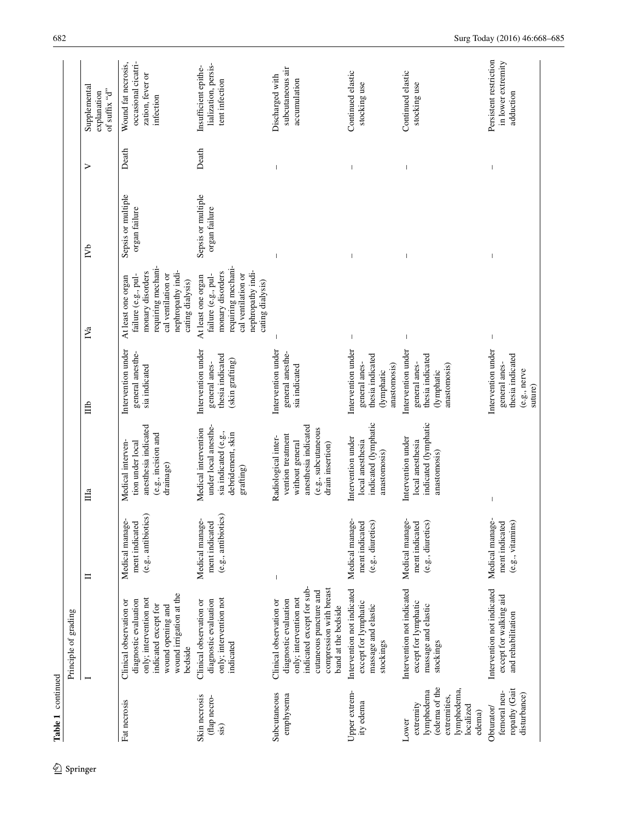|                                                                                                         | Principle of grading                                                                                                                                                                |                                                          |                                                                                                                                |                                                                                       |                                                                                                                                                    |                                     |       |                                                                             |
|---------------------------------------------------------------------------------------------------------|-------------------------------------------------------------------------------------------------------------------------------------------------------------------------------------|----------------------------------------------------------|--------------------------------------------------------------------------------------------------------------------------------|---------------------------------------------------------------------------------------|----------------------------------------------------------------------------------------------------------------------------------------------------|-------------------------------------|-------|-----------------------------------------------------------------------------|
|                                                                                                         |                                                                                                                                                                                     | $\equiv$                                                 | $\prod a$                                                                                                                      | Ê                                                                                     | $N_{a}$                                                                                                                                            | $\sum_{i=1}^{n}$                    | ⋗     | Supplemental<br>of suffix " $d"$<br>explanation                             |
| Fat necrosis                                                                                            | wound irrigation at the<br>only; intervention not<br>diagnostic evaluation<br>Clinical observation or<br>indicated except for<br>wound opening and<br>bedside                       | (e.g., antibiotics)<br>Medical manage-<br>ment indicated | anesthesia indicated<br>(e.g., incision and<br>Medical interven-<br>tion under local<br>drainage)                              | Intervention under<br>general anesthe-<br>sia indicated                               | requiring mechani-<br>monary disorders<br>nephropathy indi-<br>cal ventilation or<br>failure (e.g., pul-<br>At least one organ<br>cating dialysis) | Sepsis or multiple<br>organ failure | Death | occasional cicatri-<br>Wound fat necrosis,<br>zation, fever or<br>infection |
| Skin necrosis<br>(flap necro-<br>sis)                                                                   | only; intervention not<br>diagnostic evaluation<br>Clinical observation or<br>indicated                                                                                             | (e.g., antibiotics)<br>Medical manage-<br>ment indicated | under local anesthe-<br>Medical intervention<br>sia indicated (e.g.,<br>debridement, skin<br>grafting)                         | Intervention under<br>thesia indicated<br>(skin grafting)<br>general anes-            | requiring mechani-<br>nephropathy indi-<br>monary disorders<br>cal ventilation or<br>failure (e.g., pul-<br>At least one organ<br>cating dialysis) | Sepsis or multiple<br>organ failure | Death | lialization, persis-<br>Insufficient epithe-<br>tent infection              |
| Subcutaneous<br>emphysema                                                                               | indicated except for sub-<br>compression with breast<br>cutaneous puncture and<br>only; intervention not<br>diagnostic evaluation<br>Clinical observation or<br>band at the bedside | $\begin{array}{c} \end{array}$                           | anesthesia indicated<br>(e.g., subcutaneous<br>vention treatment<br>Radiological inter-<br>without general<br>drain insertion) | Intervention under<br>general anesthe-<br>sia indicated                               |                                                                                                                                                    |                                     |       | subcutaneous air<br>Discharged with<br>accumulation                         |
| Upper extrem-<br>ity edema                                                                              | Intervention not indicated<br>except for lymphatic<br>massage and elastic<br>stockings                                                                                              | Medical manage-<br>(e.g., diuretics)<br>ment indicated   | indicated (lymphatic<br>Intervention under<br>local anesthesia<br>anastomosis)                                                 | Intervention under<br>thesia indicated<br>anastomosis)<br>general anes-<br>(lymphatic |                                                                                                                                                    |                                     |       | Continued elastic<br>stocking use                                           |
| (edema of the<br>lymphedema,<br>lymphedema<br>extremities,<br>extremity<br>localized<br>edema)<br>Lower | Intervention not indicated<br>except for lymphatic<br>massage and elastic<br>stockings                                                                                              | Medical manage-<br>ment indicated<br>(e.g., diuretics)   | indicated (lymphatic<br>Intervention under<br>local anesthesia<br>anastomosis)                                                 | Intervention under<br>thesia indicated<br>general anes-<br>anastomosis)<br>(lymphatic |                                                                                                                                                    |                                     |       | Continued elastic<br>stocking use                                           |
| ropathy (Gait<br>femoral neu-<br>disturbance)<br>Obturator/                                             | Intervention not indicated<br>except for walking aid<br>and rehabilitation                                                                                                          | Medical manage-<br>$(e.g., vitamins)$<br>ment indicated  |                                                                                                                                | Intervention under<br>thesia indicated<br>general anes-<br>(e.g., nerve<br>suture)    | $\overline{\phantom{a}}$                                                                                                                           |                                     |       | Persistent restriction<br>in lower extremity<br>adduction                   |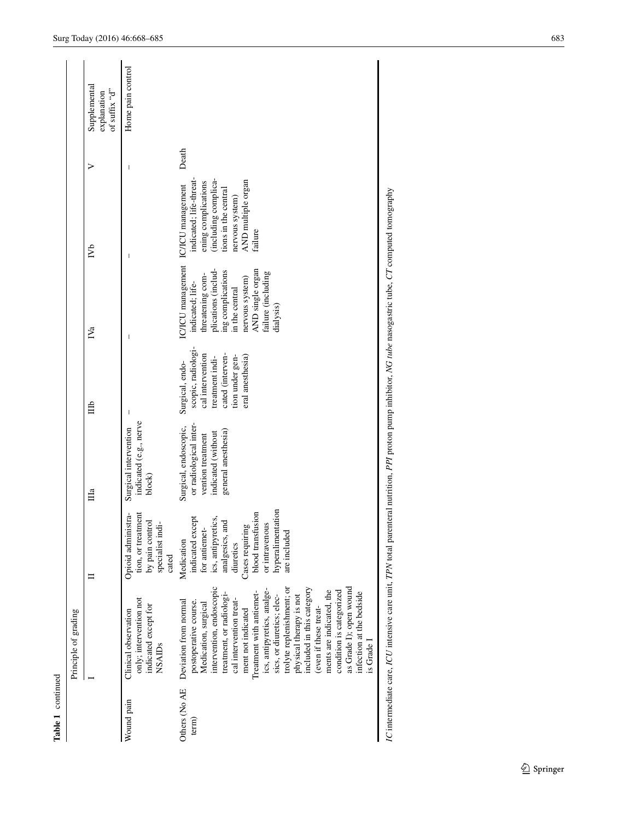|                        | Principle of grading                                                                                                                                                                                                                                                                                                                                                                                                                                                                                              |                                                                                                                                                                                                      |                                                                                                                   |                                                                                                                                        |                                                                                                                                                                                                                     |                                                                                                                                                    |       |                                                 |
|------------------------|-------------------------------------------------------------------------------------------------------------------------------------------------------------------------------------------------------------------------------------------------------------------------------------------------------------------------------------------------------------------------------------------------------------------------------------------------------------------------------------------------------------------|------------------------------------------------------------------------------------------------------------------------------------------------------------------------------------------------------|-------------------------------------------------------------------------------------------------------------------|----------------------------------------------------------------------------------------------------------------------------------------|---------------------------------------------------------------------------------------------------------------------------------------------------------------------------------------------------------------------|----------------------------------------------------------------------------------------------------------------------------------------------------|-------|-------------------------------------------------|
|                        |                                                                                                                                                                                                                                                                                                                                                                                                                                                                                                                   |                                                                                                                                                                                                      | $\mathbb{H}^a$                                                                                                    | 自                                                                                                                                      | $\mathbb{N}_a$                                                                                                                                                                                                      | $\mathbb{N}^{\mathsf{b}}$                                                                                                                          | ⋗     | Supplemental<br>of suffix " $d"$<br>explanation |
| Wound pain             | only; intervention not<br>indicated except for<br>Clinical observation<br><b>NSAIDs</b>                                                                                                                                                                                                                                                                                                                                                                                                                           | Opioid administra-<br>tion, or treatment<br>by pain control<br>specialist indi-<br>cated                                                                                                             | indicated (e.g., nerve<br>Surgical intervention<br>block)                                                         |                                                                                                                                        |                                                                                                                                                                                                                     |                                                                                                                                                    |       | Home pain control                               |
| Others (No AE<br>term) | intervention, endoscopic<br>as Grade I); open wound<br>trolyte replenishment; or<br>included in this category<br>ics, antipyretics, analge-<br>ments are indicated, the<br>condition is categorized<br>Treatment with antiemet-<br>infection at the bedside<br>treatment, or radiologi-<br>sics, or diuretics; elec-<br>physical therapy is not<br>cal intervention treat-<br>Deviation from normal<br>postoperative course.<br>Medication, surgical<br>(even if these treat-<br>ment not indicated<br>is Grade I | hyperalimentation<br>blood transfusion<br>indicated except<br>ics, antipyretics,<br>analgesics, and<br>Cases requiring<br>or intravenous<br>for antiemet-<br>are included<br>Medication<br>diuretics | or radiological inter-<br>Surgical, endoscopic,<br>general anesthesia)<br>indicated (without<br>vention treatment | scopic, radiologi-<br>cal intervention<br>cated (interven-<br>tion under gen-<br>eral anesthesia<br>treatment indi-<br>Surgical, endo- | IC/ICU management IC/ICU management<br>plications (includ-<br>AND single organ<br>ing complications<br>failure (including<br>threatening com-<br>nervous system)<br>indicated; life-<br>in the central<br>dialysis) | indicated; life-threat-<br>(including complica-<br>AND multiple organ<br>ening complications<br>tions in the central<br>nervous system)<br>failure | Death |                                                 |
|                        | IC intermediate care, ICU intensive care unit, TPN total parenteral nutrition, PPI proton pump inhibitor, NG tube nasogastric tube, CT computed tomography                                                                                                                                                                                                                                                                                                                                                        |                                                                                                                                                                                                      |                                                                                                                   |                                                                                                                                        |                                                                                                                                                                                                                     |                                                                                                                                                    |       |                                                 |

**Table 1** continued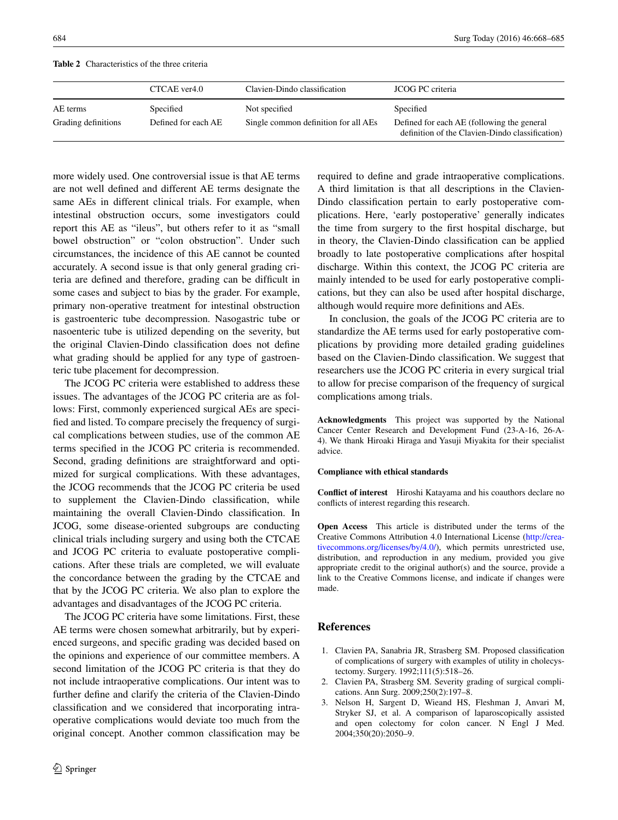<span id="page-16-3"></span>**Table 2** Characteristics of the three criteria

|                     | CTCAE ver4.0        | Clavien-Dindo classification         | JCOG PC criteria                                                                              |
|---------------------|---------------------|--------------------------------------|-----------------------------------------------------------------------------------------------|
| AE terms            | Specified           | Not specified                        | Specified                                                                                     |
| Grading definitions | Defined for each AE | Single common definition for all AEs | Defined for each AE (following the general<br>definition of the Clavien-Dindo classification) |

more widely used. One controversial issue is that AE terms are not well defined and different AE terms designate the same AEs in different clinical trials. For example, when intestinal obstruction occurs, some investigators could report this AE as "ileus", but others refer to it as "small bowel obstruction" or "colon obstruction". Under such circumstances, the incidence of this AE cannot be counted accurately. A second issue is that only general grading criteria are defined and therefore, grading can be difficult in some cases and subject to bias by the grader. For example, primary non-operative treatment for intestinal obstruction is gastroenteric tube decompression. Nasogastric tube or nasoenteric tube is utilized depending on the severity, but the original Clavien-Dindo classification does not define what grading should be applied for any type of gastroenteric tube placement for decompression.

The JCOG PC criteria were established to address these issues. The advantages of the JCOG PC criteria are as follows: First, commonly experienced surgical AEs are specified and listed. To compare precisely the frequency of surgical complications between studies, use of the common AE terms specified in the JCOG PC criteria is recommended. Second, grading definitions are straightforward and optimized for surgical complications. With these advantages, the JCOG recommends that the JCOG PC criteria be used to supplement the Clavien-Dindo classification, while maintaining the overall Clavien-Dindo classification. In JCOG, some disease-oriented subgroups are conducting clinical trials including surgery and using both the CTCAE and JCOG PC criteria to evaluate postoperative complications. After these trials are completed, we will evaluate the concordance between the grading by the CTCAE and that by the JCOG PC criteria. We also plan to explore the advantages and disadvantages of the JCOG PC criteria.

The JCOG PC criteria have some limitations. First, these AE terms were chosen somewhat arbitrarily, but by experienced surgeons, and specific grading was decided based on the opinions and experience of our committee members. A second limitation of the JCOG PC criteria is that they do not include intraoperative complications. Our intent was to further define and clarify the criteria of the Clavien-Dindo classification and we considered that incorporating intraoperative complications would deviate too much from the original concept. Another common classification may be required to define and grade intraoperative complications. A third limitation is that all descriptions in the Clavien-Dindo classification pertain to early postoperative complications. Here, 'early postoperative' generally indicates the time from surgery to the first hospital discharge, but in theory, the Clavien-Dindo classification can be applied broadly to late postoperative complications after hospital discharge. Within this context, the JCOG PC criteria are mainly intended to be used for early postoperative complications, but they can also be used after hospital discharge, although would require more definitions and AEs.

In conclusion, the goals of the JCOG PC criteria are to standardize the AE terms used for early postoperative complications by providing more detailed grading guidelines based on the Clavien-Dindo classification. We suggest that researchers use the JCOG PC criteria in every surgical trial to allow for precise comparison of the frequency of surgical complications among trials.

**Acknowledgments** This project was supported by the National Cancer Center Research and Development Fund (23-A-16, 26-A-4). We thank Hiroaki Hiraga and Yasuji Miyakita for their specialist advice.

#### **Compliance with ethical standards**

**Conflict of interest** Hiroshi Katayama and his coauthors declare no conflicts of interest regarding this research.

**Open Access** This article is distributed under the terms of the Creative Commons Attribution 4.0 International License ([http://crea](http://creativecommons.org/licenses/by/4.0/)[tivecommons.org/licenses/by/4.0/](http://creativecommons.org/licenses/by/4.0/)), which permits unrestricted use, distribution, and reproduction in any medium, provided you give appropriate credit to the original author(s) and the source, provide a link to the Creative Commons license, and indicate if changes were made.

## **References**

- <span id="page-16-0"></span>1. Clavien PA, Sanabria JR, Strasberg SM. Proposed classification of complications of surgery with examples of utility in cholecystectomy. Surgery. 1992;111(5):518–26.
- <span id="page-16-1"></span>2. Clavien PA, Strasberg SM. Severity grading of surgical complications. Ann Surg. 2009;250(2):197–8.
- <span id="page-16-2"></span>3. Nelson H, Sargent D, Wieand HS, Fleshman J, Anvari M, Stryker SJ, et al. A comparison of laparoscopically assisted and open colectomy for colon cancer. N Engl J Med. 2004;350(20):2050–9.